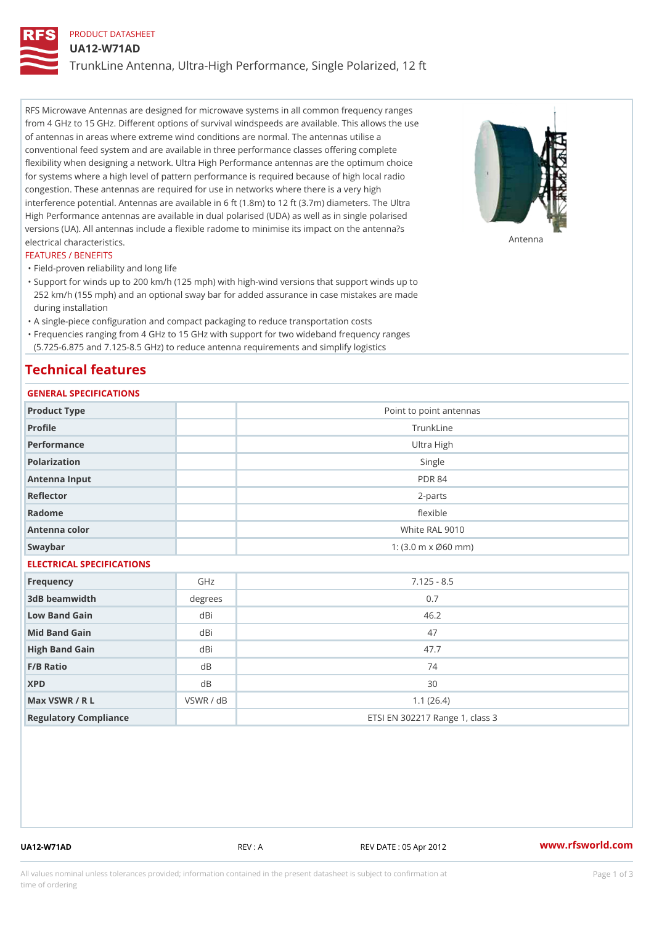# PRODUCT DATASHEET

UA12-W71AD

TrunkLine Antenna, Ultra-High Performance, Single Polarized, 12 ft

RFS Microwave Antennas are designed for microwave systems in all common frequency ranges from 4 GHz to 15 GHz. Different options of survival windspeeds are available. This allows the use of antennas in areas where extreme wind conditions are normal. The antennas utilise a conventional feed system and are available in three performance classes offering complete flexibility when designing a network. Ultra High Performance antennas are the optimum choice for systems where a high level of pattern performance is required because of high local radio congestion. These antennas are required for use in networks where there is a very high interference potential. Antennas are available in 6 ft (1.8m) to 12 ft (3.7m) diameters. The Ultra High Performance antennas are available in dual polarised (UDA) as well as in single polarised versions (UA). All antennas include a flexible radome to minimise its impact on the antenna?s electrical characteristics. Antenna

#### FEATURES / BENEFITS

"Field-proven reliability and long life

- Support for winds up to 200 km/h (125 mph) with high-wind versions that support winds up to " 252 km/h (155 mph) and an optional sway bar for added assurance in case mistakes are made during installation
- "A single-piece configuration and compact packaging to reduce transportation costs
- Frequencies ranging from 4 GHz to 15 GHz with support for two wideband frequency ranges "
- (5.725-6.875 and 7.125-8.5 GHz) to reduce antenna requirements and simplify logistics

# Technical features

# GENERAL SPECIFICATIONS

| GENERAL SELGIFICATIONS    |                         |                                 |  |  |  |
|---------------------------|-------------------------|---------------------------------|--|--|--|
| Product Type              | Point to point antennas |                                 |  |  |  |
| Profile                   | TrunkLine               |                                 |  |  |  |
| Performance               | Ultra High              |                                 |  |  |  |
| Polarization              | Single                  |                                 |  |  |  |
| Antenna Input             | <b>PDR 84</b>           |                                 |  |  |  |
| Reflector                 | $2 - p$ arts            |                                 |  |  |  |
| Radome                    | flexible                |                                 |  |  |  |
| Antenna color             |                         | White RAL 9010                  |  |  |  |
| Swaybar                   |                         | 1: (3.0 m x Ø60 mm)             |  |  |  |
| ELECTRICAL SPECIFICATIONS |                         |                                 |  |  |  |
| Frequency                 | GHz                     | $7.125 - 8.5$                   |  |  |  |
| 3dB beamwidth             | degree:                 | 0.7                             |  |  |  |
| Low Band Gain             | dBi                     | 46.2                            |  |  |  |
| Mid Band Gain             | dBi                     | 47                              |  |  |  |
| High Band Gain            | dBi                     | 47.7                            |  |  |  |
| F/B Ratio                 | $d$ B                   | 74                              |  |  |  |
| <b>XPD</b>                | d B                     | 30                              |  |  |  |
| Max VSWR / R L            | VSWR / dB               | 1.1(26.4)                       |  |  |  |
| Regulatory Compliance     |                         | ETSI EN 302217 Range 1, class 3 |  |  |  |

UA12-W71AD REV : A REV DATE : 05 Apr 2012 [www.](https://www.rfsworld.com)rfsworld.com

All values nominal unless tolerances provided; information contained in the present datasheet is subject to Pcapgeign mation time of ordering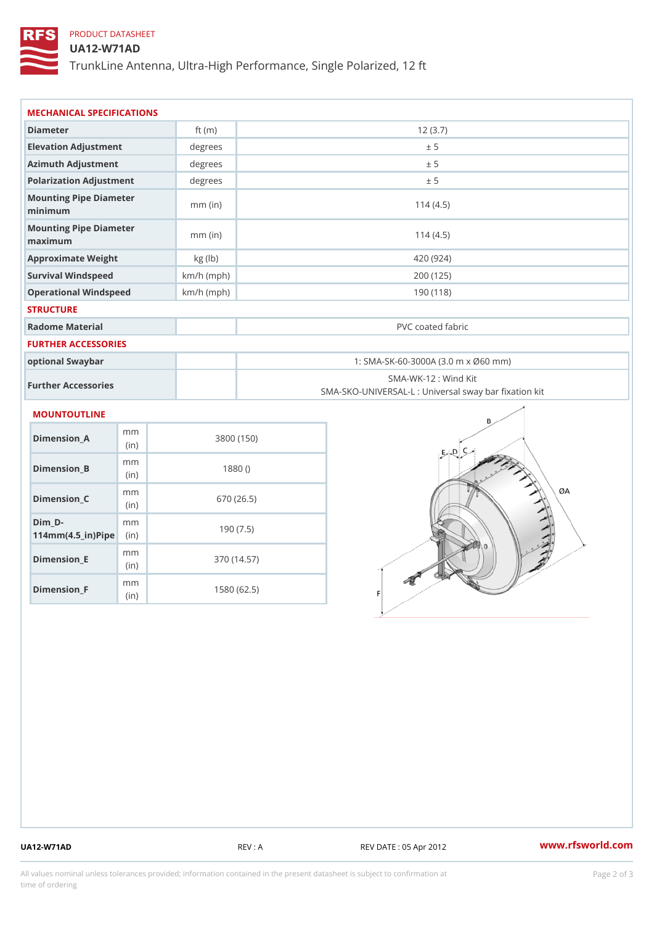# PRODUCT DATASHEET

## UA12-W71AD

TrunkLine Antenna, Ultra-High Performance, Single Polarized, 12 ft

| MECHANICAL SPECIFICATIONS                                       |              |                                                                           |  |
|-----------------------------------------------------------------|--------------|---------------------------------------------------------------------------|--|
| Diameter                                                        | ft $(m)$     | 12(3.7)                                                                   |  |
| Elevation Adjustment                                            | degree       | ± 5                                                                       |  |
| Azimuth Adjustment                                              | degrees      | ± 5                                                                       |  |
| Polarization Adjustment                                         | degree:      | ± 5                                                                       |  |
| Mounting Pipe Diameter<br>minimum                               | $mm$ (in)    | 114(4.5)                                                                  |  |
| Mounting Pipe Diameter<br>maximum                               | $mm$ (in)    | 114(4.5)                                                                  |  |
| Approximate Weight                                              | kg (lb)      | 420 (924)                                                                 |  |
| Survival Windspeed                                              | $km/h$ (mph) | 200 (125)                                                                 |  |
| Operational Windspeed                                           | $km/h$ (mph) | 190 (118)                                                                 |  |
| <b>STRUCTURE</b>                                                |              |                                                                           |  |
| Radome Material                                                 |              | PVC coated fabric                                                         |  |
| <b>FURTHER ACCESSORIES</b>                                      |              |                                                                           |  |
| optional Swaybar                                                |              | 1: SMA-SK-60-3000A (3.0 m x Ø60 mm)                                       |  |
| Further Accessories                                             |              | SMA-WK-12 : Wind Kit<br>SMA-SKO-UNIVERSAL-L : Universal sway bar fixation |  |
| MOUNTOUTLINE                                                    |              |                                                                           |  |
| m m<br>Dimension_A<br>(in)                                      |              | 3800 (150)                                                                |  |
| m m<br>$Dimension_B$<br>(in)                                    |              | 1880()                                                                    |  |
| m m<br>$Dimension_C$<br>(in)                                    |              | 670 (26.5)                                                                |  |
| $Dim_D - D -$<br>m m<br>$114$ m m (4.5 _ i r ) $\mathsf{Rip}$ = |              | 190(7.5)                                                                  |  |

Dimension\_F m<sub>m</sub> (in) 1580 (62.5)

mm (in)

Dimension\_E

370 (14.57)

UA12-W71AD REV : A REV DATE : 05 Apr 2012 [www.](https://www.rfsworld.com)rfsworld.com